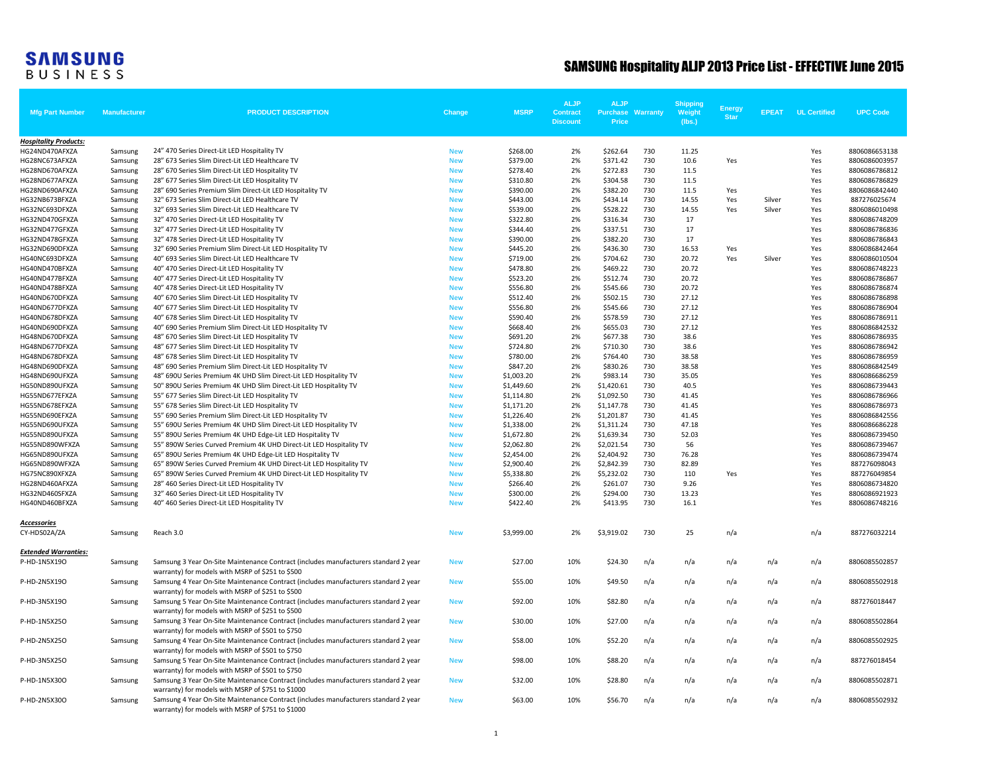## **SAMSUNG**<br>BUSINESS

## SAMSUNG Hospitality ALJP 2013 Price List - EFFECTIVE June 2015

| <b>Mfg Part Number</b>           | <b>Manufacturer</b> | <b>PRODUCT DESCRIPTION</b>                                                                                                                                                                    | Change                   | <b>MSRP</b>              | <b>ALJP</b><br><b>Contract</b><br><b>Discount</b> | <b>ALJP</b><br><b>Purchase</b><br><b>Price</b> | Warranty   | <b>Shipping</b><br>Weight<br>(Ibs.) | <b>Energy</b><br><b>Star</b> | <b>EPEAT</b> | <b>UL Certified</b> | <b>UPC Code</b>                |
|----------------------------------|---------------------|-----------------------------------------------------------------------------------------------------------------------------------------------------------------------------------------------|--------------------------|--------------------------|---------------------------------------------------|------------------------------------------------|------------|-------------------------------------|------------------------------|--------------|---------------------|--------------------------------|
| <b>Hospitality Products:</b>     |                     |                                                                                                                                                                                               |                          |                          |                                                   |                                                |            |                                     |                              |              |                     |                                |
| HG24ND470AFXZA                   | Samsung             | 24" 470 Series Direct-Lit LED Hospitality TV                                                                                                                                                  | <b>New</b>               | \$268.00                 | 2%                                                | \$262.64                                       | 730        | 11.25                               |                              |              | Yes                 | 8806086653138                  |
| HG28NC673AFXZA                   | Samsung             | 28" 673 Series Slim Direct-Lit LED Healthcare TV                                                                                                                                              | <b>New</b>               | \$379.00                 | 2%                                                | \$371.42                                       | 730        | 10.6                                | Yes                          |              | Yes                 | 8806086003957                  |
| HG28ND670AFXZA                   | Samsung             | 28" 670 Series Slim Direct-Lit LED Hospitality TV                                                                                                                                             | <b>New</b>               | \$278.40                 | 2%                                                | \$272.83                                       | 730        | 11.5                                |                              |              | Yes                 | 8806086786812                  |
| HG28ND677AFXZA                   | Samsung             | 28" 677 Series Slim Direct-Lit LED Hospitality TV                                                                                                                                             | <b>New</b>               | \$310.80                 | 2%                                                | \$304.58                                       | 730        | 11.5                                |                              |              | Yes                 | 8806086786829                  |
| HG28ND690AFXZA                   | Samsung             | 28" 690 Series Premium Slim Direct-Lit LED Hospitality TV                                                                                                                                     | <b>New</b>               | \$390.00                 | 2%                                                | \$382.20                                       | 730        | 11.5                                | Yes                          |              | Yes                 | 8806086842440                  |
| HG32NB673BFXZA                   | Samsung             | 32" 673 Series Slim Direct-Lit LED Healthcare TV                                                                                                                                              | <b>New</b>               | \$443.00                 | 2%                                                | \$434.14                                       | 730        | 14.55                               | Yes                          | Silver       | Yes                 | 887276025674                   |
| HG32NC693DFXZA                   | Samsung             | 32" 693 Series Slim Direct-Lit LED Healthcare TV                                                                                                                                              | <b>New</b>               | \$539.00                 | 2%<br>2%                                          | \$528.22                                       | 730<br>730 | 14.55<br>17                         | Yes                          | Silver       | Yes<br>Yes          | 8806086010498<br>8806086748209 |
| HG32ND470GFXZA<br>HG32ND477GFXZA | Samsung<br>Samsung  | 32" 470 Series Direct-Lit LED Hospitality TV<br>32" 477 Series Direct-Lit LED Hospitality TV                                                                                                  | <b>New</b><br><b>New</b> | \$322.80<br>\$344.40     | 2%                                                | \$316.34<br>\$337.51                           | 730        | 17                                  |                              |              | Yes                 | 8806086786836                  |
| HG32ND478GFXZA                   | Samsung             | 32" 478 Series Direct-Lit LED Hospitality TV                                                                                                                                                  | <b>New</b>               | \$390.00                 | 2%                                                | \$382.20                                       | 730        | 17                                  |                              |              | Yes                 | 8806086786843                  |
| HG32ND690DFXZA                   | Samsung             | 32" 690 Series Premium Slim Direct-Lit LED Hospitality TV                                                                                                                                     | <b>New</b>               | \$445.20                 | 2%                                                | \$436.30                                       | 730        | 16.53                               | Yes                          |              | Yes                 | 8806086842464                  |
| HG40NC693DFXZA                   | Samsung             | 40" 693 Series Slim Direct-Lit LED Healthcare TV                                                                                                                                              | <b>New</b>               | \$719.00                 | 2%                                                | \$704.62                                       | 730        | 20.72                               | Yes                          | Silver       | Yes                 | 8806086010504                  |
| HG40ND470BFXZA                   | Samsung             | 40" 470 Series Direct-Lit LED Hospitality TV                                                                                                                                                  | <b>New</b>               | \$478.80                 | 2%                                                | \$469.22                                       | 730        | 20.72                               |                              |              | Yes                 | 8806086748223                  |
| HG40ND477BFXZA                   | Samsung             | 40" 477 Series Direct-Lit LED Hospitality TV                                                                                                                                                  | <b>New</b>               | \$523.20                 | 2%                                                | \$512.74                                       | 730        | 20.72                               |                              |              | Yes                 | 8806086786867                  |
| HG40ND478BFXZA                   | Samsung             | 40" 478 Series Direct-Lit LED Hospitality TV                                                                                                                                                  | <b>New</b>               | \$556.80                 | 2%                                                | \$545.66                                       | 730        | 20.72                               |                              |              | Yes                 | 8806086786874                  |
| HG40ND670DFXZA                   | Samsung             | 40" 670 Series Slim Direct-Lit LED Hospitality TV                                                                                                                                             | <b>New</b>               | \$512.40                 | 2%                                                | \$502.15                                       | 730        | 27.12                               |                              |              | Yes                 | 8806086786898                  |
| HG40ND677DFXZA                   | Samsung             | 40" 677 Series Slim Direct-Lit LED Hospitality TV                                                                                                                                             | <b>New</b>               | \$556.80                 | 2%                                                | \$545.66                                       | 730        | 27.12                               |                              |              | Yes                 | 8806086786904                  |
| HG40ND678DFXZA                   | Samsung             | 40" 678 Series Slim Direct-Lit LED Hospitality TV                                                                                                                                             | <b>New</b>               | \$590.40                 | 2%                                                | \$578.59                                       | 730        | 27.12                               |                              |              | Yes                 | 8806086786911                  |
| HG40ND690DFXZA                   | Samsung             | 40" 690 Series Premium Slim Direct-Lit LED Hospitality TV                                                                                                                                     | <b>New</b>               | \$668.40                 | 2%                                                | \$655.03                                       | 730        | 27.12                               |                              |              | Yes                 | 8806086842532                  |
| HG48ND670DFXZA                   | Samsung             | 48" 670 Series Slim Direct-Lit LED Hospitality TV                                                                                                                                             | <b>New</b>               | \$691.20                 | 2%                                                | \$677.38                                       | 730        | 38.6                                |                              |              | Yes                 | 8806086786935                  |
| HG48ND677DFXZA                   | Samsung             | 48" 677 Series Slim Direct-Lit LED Hospitality TV                                                                                                                                             | <b>New</b>               | \$724.80                 | 2%                                                | \$710.30                                       | 730        | 38.6                                |                              |              | Yes                 | 8806086786942                  |
| HG48ND678DFXZA                   | Samsung             | 48" 678 Series Slim Direct-Lit LED Hospitality TV                                                                                                                                             | <b>New</b>               | \$780.00                 | 2%                                                | \$764.40                                       | 730        | 38.58                               |                              |              | Yes                 | 8806086786959                  |
| HG48ND690DFXZA                   | Samsung             | 48" 690 Series Premium Slim Direct-Lit LED Hospitality TV                                                                                                                                     | <b>New</b>               | \$847.20                 | 2%                                                | \$830.26                                       | 730        | 38.58                               |                              |              | Yes                 | 8806086842549                  |
| HG48ND690UFXZA                   | Samsung             | 48" 690U Series Premium 4K UHD Slim Direct-Lit LED Hospitality TV                                                                                                                             | <b>New</b>               | \$1,003.20               | 2%                                                | \$983.14                                       | 730        | 35.05                               |                              |              | Yes                 | 8806086686259                  |
| HG50ND890UFXZA                   | Samsung             | 50" 890U Series Premium 4K UHD Slim Direct-Lit LED Hospitality TV                                                                                                                             | <b>New</b>               | \$1,449.60               | 2%                                                | \$1,420.61                                     | 730        | 40.5                                |                              |              | Yes                 | 8806086739443                  |
| HG55ND677EFXZA                   | Samsung             | 55" 677 Series Slim Direct-Lit LED Hospitality TV                                                                                                                                             | <b>New</b>               | \$1,114.80               | 2%                                                | \$1,092.50                                     | 730        | 41.45                               |                              |              | Yes                 | 8806086786966                  |
| HG55ND678EFXZA                   | Samsung             | 55" 678 Series Slim Direct-Lit LED Hospitality TV                                                                                                                                             | <b>New</b>               | \$1,171.20               | 2%                                                | \$1,147.78                                     | 730        | 41.45                               |                              |              | Yes                 | 8806086786973                  |
| HG55ND690EFXZA                   | Samsung             | 55" 690 Series Premium Slim Direct-Lit LED Hospitality TV                                                                                                                                     | <b>New</b>               | \$1,226.40               | 2%                                                | \$1,201.87                                     | 730        | 41.45                               |                              |              | Yes                 | 8806086842556                  |
| HG55ND690UFXZA                   | Samsung             | 55" 690U Series Premium 4K UHD Slim Direct-Lit LED Hospitality TV                                                                                                                             | <b>New</b>               | \$1,338.00               | 2%                                                | \$1,311.24                                     | 730        | 47.18                               |                              |              | Yes                 | 8806086686228                  |
| HG55ND890UFXZA                   | Samsung             | 55" 890U Series Premium 4K UHD Edge-Lit LED Hospitality TV                                                                                                                                    | <b>New</b>               | \$1,672.80               | 2%                                                | \$1,639.34                                     | 730        | 52.03                               |                              |              | Yes                 | 8806086739450                  |
| HG55ND890WFXZA                   | Samsung             | 55" 890W Series Curved Premium 4K UHD Direct-Lit LED Hospitality TV                                                                                                                           | <b>New</b>               | \$2,062.80               | 2%                                                | \$2,021.54                                     | 730        | 56                                  |                              |              | Yes                 | 8806086739467                  |
| HG65ND890UFXZA                   | Samsung             | 65" 890U Series Premium 4K UHD Edge-Lit LED Hospitality TV                                                                                                                                    | <b>New</b>               | \$2,454.00               | 2%                                                | \$2,404.92                                     | 730<br>730 | 76.28                               |                              |              | Yes                 | 8806086739474                  |
| HG65ND890WFXZA<br>HG75NC890XFXZA | Samsung<br>Samsung  | 65" 890W Series Curved Premium 4K UHD Direct-Lit LED Hospitality TV<br>65" 890W Series Curved Premium 4K UHD Direct-Lit LED Hospitality TV                                                    | <b>New</b><br><b>New</b> | \$2,900.40<br>\$5,338.80 | 2%<br>2%                                          | \$2,842.39<br>\$5,232.02                       | 730        | 82.89<br>110                        | Yes                          |              | Yes<br>Yes          | 887276098043<br>887276049854   |
| HG28ND460AFXZA                   | Samsung             | 28" 460 Series Direct-Lit LED Hospitality TV                                                                                                                                                  | <b>New</b>               | \$266.40                 | 2%                                                | \$261.07                                       | 730        | 9.26                                |                              |              | Yes                 | 8806086734820                  |
| HG32ND460SFXZA                   | Samsung             | 32" 460 Series Direct-Lit LED Hospitality TV                                                                                                                                                  | <b>New</b>               | \$300.00                 | 2%                                                | \$294.00                                       | 730        | 13.23                               |                              |              | Yes                 | 8806086921923                  |
| HG40ND460BFXZA                   | Samsung             | 40" 460 Series Direct-Lit LED Hospitality TV                                                                                                                                                  | <b>New</b>               | \$422.40                 | 2%                                                | \$413.95                                       | 730        | 16.1                                |                              |              | Yes                 | 8806086748216                  |
|                                  |                     |                                                                                                                                                                                               |                          |                          |                                                   |                                                |            |                                     |                              |              |                     |                                |
| Accessories<br>CY-HDS02A/ZA      | Samsung             | Reach 3.0                                                                                                                                                                                     | <b>New</b>               | \$3,999.00               | 2%                                                | \$3,919.02                                     | 730        | 25                                  | n/a                          |              | n/a                 | 887276032214                   |
| <b>Extended Warranties:</b>      |                     |                                                                                                                                                                                               |                          |                          |                                                   |                                                |            |                                     |                              |              |                     |                                |
| P-HD-1N5X19O                     | Samsung             | Samsung 3 Year On-Site Maintenance Contract (includes manufacturers standard 2 year<br>warranty) for models with MSRP of \$251 to \$500                                                       | <b>New</b>               | \$27.00                  | 10%                                               | \$24.30                                        | n/a        | n/a                                 | n/a                          | n/a          | n/a                 | 8806085502857                  |
| P-HD-2N5X19O                     | Samsung             | Samsung 4 Year On-Site Maintenance Contract (includes manufacturers standard 2 year<br>warranty) for models with MSRP of \$251 to \$500                                                       | <b>New</b>               | \$55.00                  | 10%                                               | \$49.50                                        | n/a        | n/a                                 | n/a                          | n/a          | n/a                 | 8806085502918                  |
| P-HD-3N5X19O                     | Samsung             | Samsung 5 Year On-Site Maintenance Contract (includes manufacturers standard 2 year<br>warranty) for models with MSRP of \$251 to \$500                                                       | <b>New</b>               | \$92.00                  | 10%                                               | \$82.80                                        | n/a        | n/a                                 | n/a                          | n/a          | n/a                 | 887276018447                   |
| P-HD-1N5X25O                     | Samsung             | Samsung 3 Year On-Site Maintenance Contract (includes manufacturers standard 2 year<br>warranty) for models with MSRP of \$501 to \$750                                                       | <b>New</b>               | \$30.00                  | 10%                                               | \$27.00                                        | n/a        | n/a                                 | n/a                          | n/a          | n/a                 | 8806085502864                  |
| P-HD-2N5X25O                     | Samsung             | Samsung 4 Year On-Site Maintenance Contract (includes manufacturers standard 2 year<br>warranty) for models with MSRP of \$501 to \$750                                                       | <b>New</b>               | \$58.00                  | 10%                                               | \$52.20                                        | n/a        | n/a                                 | n/a                          | n/a          | n/a                 | 8806085502925                  |
| P-HD-3N5X25O                     | Samsung             | Samsung 5 Year On-Site Maintenance Contract (includes manufacturers standard 2 year                                                                                                           | <b>New</b>               | \$98.00                  | 10%                                               | \$88.20                                        | n/a        | n/a                                 | n/a                          | n/a          | n/a                 | 887276018454                   |
| P-HD-1N5X30O                     | Samsung             | warranty) for models with MSRP of \$501 to \$750<br>Samsung 3 Year On-Site Maintenance Contract (includes manufacturers standard 2 year                                                       | <b>New</b>               | \$32.00                  | 10%                                               | \$28.80                                        | n/a        | n/a                                 | n/a                          | n/a          | n/a                 | 8806085502871                  |
| P-HD-2N5X30O                     | Samsung             | warranty) for models with MSRP of \$751 to \$1000<br>Samsung 4 Year On-Site Maintenance Contract (includes manufacturers standard 2 year<br>warranty) for models with MSRP of \$751 to \$1000 | <b>New</b>               | \$63.00                  | 10%                                               | \$56.70                                        | n/a        | n/a                                 | n/a                          | n/a          | n/a                 | 8806085502932                  |